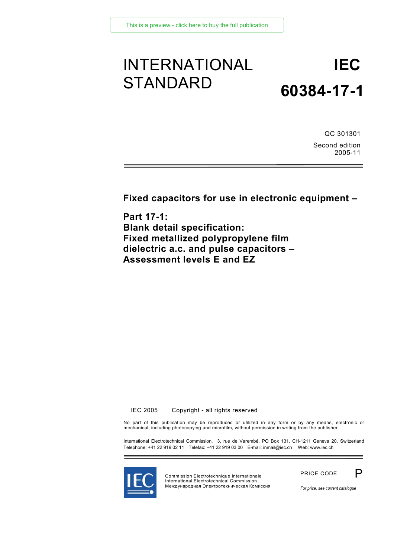# INTERNATIONAL **STANDARD IEC 60384-17-1**

QC 301301

Second edition 2005-11

**Fixed capacitors for use in electronic equipment –**

**Part 17-1: Blank detail specification: Fixed metallized polypropylene film dielectric a.c. and pulse capacitors – Assessment levels E and EZ** 

 $\odot$  IEC 2005  $-$  Copyright - all rights reserved

No part of this publication may be reproduced or utilized in any form or by any means, electronic or mechanical, including photocopying and microfilm, without permission in writing from the publisher.

International Electrotechnical Commission, 3, rue de Varembé, PO Box 131, CH-1211 Geneva 20, Switzerland Telephone: +41 22 919 02 11 Telefax: +41 22 919 03 00 E-mail: inmail@iec.ch Web: www.iec.ch



PRICE CODE Commission Electrotechnique Internationale International Electrotechnical Commission Международная Электротехническая Комиссия

*For price, see current catalogue*

P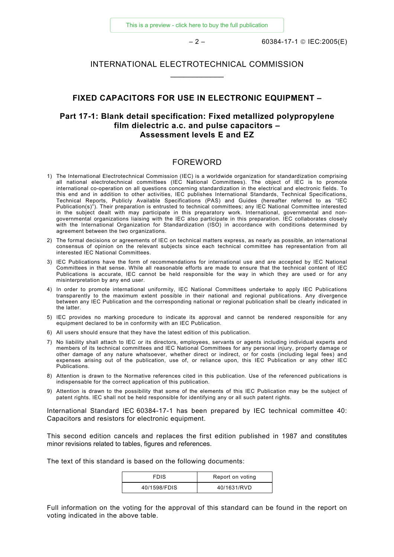# INTERNATIONAL ELECTROTECHNICAL COMMISSION  $\frac{1}{2}$

# **FIXED CAPACITORS FOR USE IN ELECTRONIC EQUIPMENT –**

# **Part 17-1: Blank detail specification: Fixed metallized polypropylene film dielectric a.c. and pulse capacitors – Assessment levels E and EZ**

# FOREWORD

- 1) The International Electrotechnical Commission (IEC) is a worldwide organization for standardization comprising all national electrotechnical committees (IEC National Committees). The object of IEC is to promote international co-operation on all questions concerning standardization in the electrical and electronic fields. To this end and in addition to other activities, IEC publishes International Standards, Technical Specifications, Technical Reports, Publicly Available Specifications (PAS) and Guides (hereafter referred to as "IEC Publication(s)"). Their preparation is entrusted to technical committees; any IEC National Committee interested in the subject dealt with may participate in this preparatory work. International, governmental and nongovernmental organizations liaising with the IEC also participate in this preparation. IEC collaborates closely with the International Organization for Standardization (ISO) in accordance with conditions determined by agreement between the two organizations.
- 2) The formal decisions or agreements of IEC on technical matters express, as nearly as possible, an international consensus of opinion on the relevant subjects since each technical committee has representation from all interested IEC National Committees.
- 3) IEC Publications have the form of recommendations for international use and are accepted by IEC National Committees in that sense. While all reasonable efforts are made to ensure that the technical content of IEC Publications is accurate, IEC cannot be held responsible for the way in which they are used or for any misinterpretation by any end user.
- 4) In order to promote international uniformity, IEC National Committees undertake to apply IEC Publications transparently to the maximum extent possible in their national and regional publications. Any divergence between any IEC Publication and the corresponding national or regional publication shall be clearly indicated in the latter.
- 5) IEC provides no marking procedure to indicate its approval and cannot be rendered responsible for any equipment declared to be in conformity with an IEC Publication.
- 6) All users should ensure that they have the latest edition of this publication.
- 7) No liability shall attach to IEC or its directors, employees, servants or agents including individual experts and members of its technical committees and IEC National Committees for any personal injury, property damage or other damage of any nature whatsoever, whether direct or indirect, or for costs (including legal fees) and expenses arising out of the publication, use of, or reliance upon, this IEC Publication or any other IEC Publications.
- 8) Attention is drawn to the Normative references cited in this publication. Use of the referenced publications is indispensable for the correct application of this publication.
- 9) Attention is drawn to the possibility that some of the elements of this IEC Publication may be the subject of patent rights. IEC shall not be held responsible for identifying any or all such patent rights.

International Standard IEC 60384-17-1 has been prepared by IEC technical committee 40: Capacitors and resistors for electronic equipment.

This second edition cancels and replaces the first edition published in 1987 and constitutes minor revisions related to tables, figures and references.

The text of this standard is based on the following documents:

| FDIS         | Report on voting |  |
|--------------|------------------|--|
| 40/1598/FDIS | 40/1631/RVD      |  |

Full information on the voting for the approval of this standard can be found in the report on voting indicated in the above table.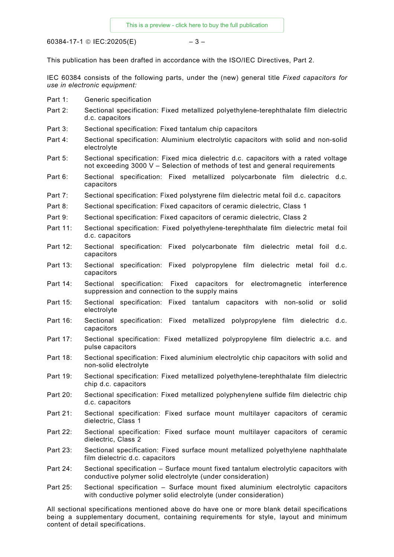60384-17-1 © IEC:20205(E) – 3 –

This publication has been drafted in accordance with the ISO/IEC Directives, Part 2.

IEC 60384 consists of the following parts, under the (new) general title *Fixed capacitors for use in electronic equipment:* 

- Part 1: Generic specification
- Part 2: Sectional specification: Fixed metallized polyethylene-terephthalate film dielectric d.c. capacitors
- Part 3: Sectional specification: Fixed tantalum chip capacitors
- Part 4: Sectional specification: Aluminium electrolytic capacitors with solid and non-solid electrolyte
- Part 5: Sectional specification: Fixed mica dielectric d.c. capacitors with a rated voltage not exceeding 3000 V – Selection of methods of test and general requirements
- Part 6: Sectional specification: Fixed metallized polycarbonate film dielectric d.c. capacitors
- Part 7: Sectional specification: Fixed polystyrene film dielectric metal foil d.c. capacitors
- Part 8: Sectional specification: Fixed capacitors of ceramic dielectric, Class 1
- Part 9: Sectional specification: Fixed capacitors of ceramic dielectric, Class 2
- Part 11: Sectional specification: Fixed polyethylene-terephthalate film dielectric metal foil d.c. capacitors
- Part 12: Sectional specification: Fixed polycarbonate film dielectric metal foil d.c. capacitors
- Part 13: Sectional specification: Fixed polypropylene film dielectric metal foil d.c. capacitors
- Part 14: Sectional specification: Fixed capacitors for electromagnetic interference suppression and connection to the supply mains
- Part 15: Sectional specification: Fixed tantalum capacitors with non-solid or solid electrolyte
- Part 16: Sectional specification: Fixed metallized polypropylene film dielectric d.c. capacitors
- Part 17: Sectional specification: Fixed metallized polypropylene film dielectric a.c. and pulse capacitors
- Part 18: Sectional specification: Fixed aluminium electrolytic chip capacitors with solid and non-solid electrolyte
- Part 19: Sectional specification: Fixed metallized polyethylene-terephthalate film dielectric chip d.c. capacitors
- Part 20: Sectional specification: Fixed metallized polyphenylene sulfide film dielectric chip d.c. capacitors
- Part 21: Sectional specification: Fixed surface mount multilayer capacitors of ceramic dielectric, Class 1
- Part 22: Sectional specification: Fixed surface mount multilayer capacitors of ceramic dielectric, Class 2
- Part 23: Sectional specification: Fixed surface mount metallized polyethylene naphthalate film dielectric d.c. capacitors
- Part 24: Sectional specification Surface mount fixed tantalum electrolytic capacitors with conductive polymer solid electrolyte (under consideration)
- Part 25: Sectional specification Surface mount fixed aluminium electrolytic capacitors with conductive polymer solid electrolyte (under consideration)

All sectional specifications mentioned above do have one or more blank detail specifications being a supplementary document, containing requirements for style, layout and minimum content of detail specifications.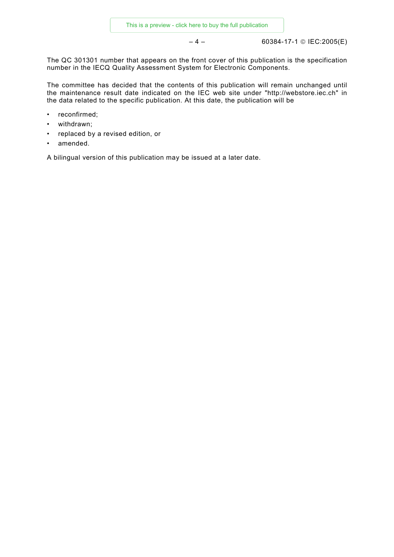$-4 - 60384 - 17 - 1 \circ \text{IEC:} 2005(E)$ 

The QC 301301 number that appears on the front cover of this publication is the specification number in the IECQ Quality Assessment System for Electronic Components.

The committee has decided that the contents of this publication will remain unchanged until the maintenance result date indicated on the IEC web site under "http://webstore.iec.ch" in the data related to the specific publication. At this date, the publication will be

- reconfirmed;
- withdrawn;
- replaced by a revised edition, or
- amended.

A bilingual version of this publication may be issued at a later date.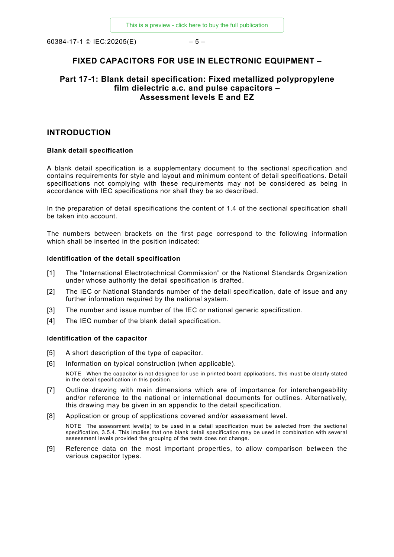60384-17-1 © IEC:20205(E) – 5 –

# **FIXED CAPACITORS FOR USE IN ELECTRONIC EQUIPMENT –**

# **Part 17-1: Blank detail specification: Fixed metallized polypropylene film dielectric a.c. and pulse capacitors – Assessment levels E and EZ**

# **INTRODUCTION**

# **Blank detail specification**

A blank detail specification is a supplementary document to the sectional specification and contains requirements for style and layout and minimum content of detail specifications. Detail specifications not complying with these requirements may not be considered as being in accordance with IEC specifications nor shall they be so described.

In the preparation of detail specifications the content of 1.4 of the sectional specification shall be taken into account.

The numbers between brackets on the first page correspond to the following information which shall be inserted in the position indicated:

#### **Identification of the detail specification**

- [1] The "International Electrotechnical Commission" or the National Standards Organization under whose authority the detail specification is drafted.
- [2] The IEC or National Standards number of the detail specification, date of issue and any further information required by the national system.
- [3] The number and issue number of the IEC or national generic specification.
- [4] The IEC number of the blank detail specification.

## **Identification of the capacitor**

- [5] A short description of the type of capacitor.
- [6] Information on typical construction (when applicable).

 NOTE When the capacitor is not designed for use in printed board applications, this must be clearly stated in the detail specification in this position.

- [7] Outline drawing with main dimensions which are of importance for interchangeability and/or reference to the national or international documents for outlines. Alternatively, this drawing may be given in an appendix to the detail specification.
- [8] Application or group of applications covered and/or assessment level.

 NOTE The assessment level(s) to be used in a detail specification must be selected from the sectional specification, 3.5.4. This implies that one blank detail specification may be used in combination with several assessment levels provided the grouping of the tests does not change.

[9] Reference data on the most important properties, to allow comparison between the various capacitor types.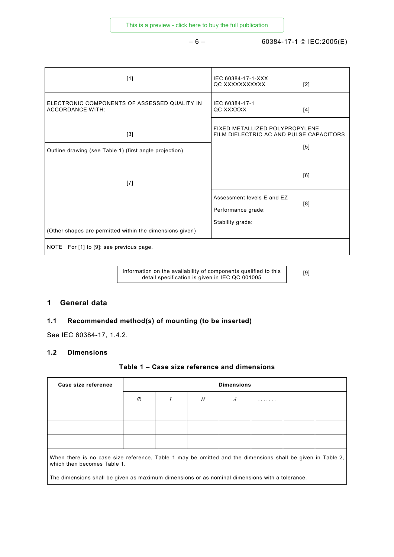$-6 - 60384 - 17 - 1 \odot \text{IEC:}2005(E)$ 

| $[1]$                                                                   | IEC 60384-17-1-XXX<br>QC XXXXXXXXXXX                                      | $[2]$ |  |
|-------------------------------------------------------------------------|---------------------------------------------------------------------------|-------|--|
| ELECTRONIC COMPONENTS OF ASSESSED QUALITY IN<br><b>ACCORDANCE WITH:</b> | IEC 60384-17-1<br>QC XXXXXX                                               | $[4]$ |  |
| $[3]$                                                                   | FIXED METALLIZED POLYPROPYLENE<br>FILM DIELECTRIC AC AND PULSE CAPACITORS |       |  |
| Outline drawing (see Table 1) (first angle projection)                  |                                                                           | $[5]$ |  |
| $[7]$                                                                   |                                                                           | [6]   |  |
|                                                                         | Assessment levels E and EZ<br>Performance grade:                          | [8]   |  |
| (Other shapes are permitted within the dimensions given)                | Stability grade:                                                          |       |  |
| NOTE For [1] to [9]: see previous page.                                 |                                                                           |       |  |

Information on the availability of components qualified to this detail specification is given in IEC QC 001005 [9]

# **1 General data**

# **1.1 Recommended method(s) of mounting (to be inserted)**

See IEC 60384-17, 1.4.2.

## **1.2 Dimensions**

| Table 1 – Case size reference and dimensions |  |
|----------------------------------------------|--|
|----------------------------------------------|--|

| Case size reference                                                                                                                       | <b>Dimensions</b> |   |   |   |  |  |
|-------------------------------------------------------------------------------------------------------------------------------------------|-------------------|---|---|---|--|--|
|                                                                                                                                           | Ø                 | L | H | d |  |  |
|                                                                                                                                           |                   |   |   |   |  |  |
|                                                                                                                                           |                   |   |   |   |  |  |
|                                                                                                                                           |                   |   |   |   |  |  |
| When there is no case size reference, Table 1 may be omitted and the dimensions shall be given in Table 2,<br>which then becomes Table 1. |                   |   |   |   |  |  |

The dimensions shall be given as maximum dimensions or as nominal dimensions with a tolerance.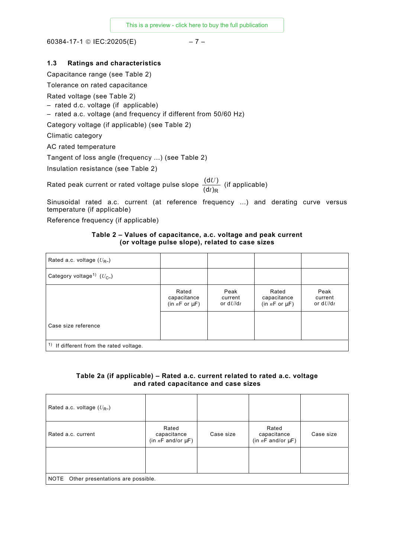60384-17-1 © IEC:20205(E) – 7 –

# **1.3 Ratings and characteristics**

Capacitance range (see Table 2)

Tolerance on rated capacitance

Rated voltage (see Table 2)

– rated d.c. voltage (if applicable)

– rated a.c. voltage (and frequency if different from 50/60 Hz)

Category voltage (if applicable) (see Table 2)

Climatic category

AC rated temperature

Tangent of loss angle (frequency ...) (see Table 2)

Insulation resistance (see Table 2)

Rated peak current or rated voltage pulse slope  $\frac{(\mathrm{d} U)}{(\mathrm{d} t)_\mathsf{R}}$  $\frac{d(U)}{dt|R}$  (if applicable)

Sinusoidal rated a.c. current (at reference frequency ...) and derating curve versus temperature (if applicable)

Reference frequency (if applicable)

### **Table 2 – Values of capacitance, a.c. voltage and peak current (or voltage pulse slope), related to case sizes**

| Rated a.c. voltage $(U_{R-})$                      |                                               |                               |                                               |                               |
|----------------------------------------------------|-----------------------------------------------|-------------------------------|-----------------------------------------------|-------------------------------|
| Category voltage <sup>1)</sup> ( $U_{Cz}$ )        |                                               |                               |                                               |                               |
|                                                    | Rated<br>capacitance<br>(in $nF$ or $\mu F$ ) | Peak<br>current<br>or $dU/dt$ | Rated<br>capacitance<br>(in $nF$ or $\mu F$ ) | Peak<br>current<br>or $dU/dt$ |
| Case size reference                                |                                               |                               |                                               |                               |
| <sup>1)</sup> If different from the rated voltage. |                                               |                               |                                               |                               |

## **Table 2a (if applicable) – Rated a.c. current related to rated a.c. voltage and rated capacitance and case sizes**

| Rated a.c. voltage $(U_{R_2})$         |                                                   |           |                                                   |           |
|----------------------------------------|---------------------------------------------------|-----------|---------------------------------------------------|-----------|
| Rated a.c. current                     | Rated<br>capacitance<br>(in $nF$ and/or $\mu F$ ) | Case size | Rated<br>capacitance<br>(in $nF$ and/or $\mu F$ ) | Case size |
|                                        |                                                   |           |                                                   |           |
| NOTE Other presentations are possible. |                                                   |           |                                                   |           |